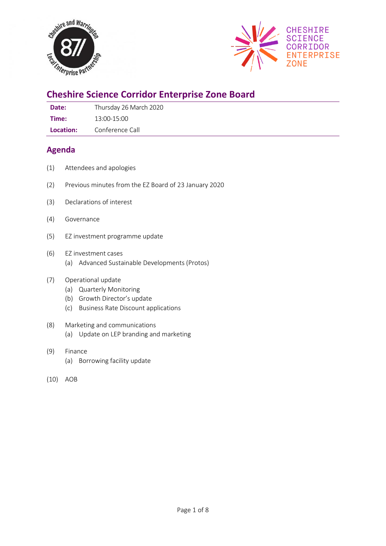



# **Cheshire Science Corridor Enterprise Zone Board**

**Date:** Thursday 26 March 2020

**Time:** 13:00-15:00

**Location:** Conference Call

## **Agenda**

- (1) Attendees and apologies
- (2) Previous minutes from the EZ Board of 23 January 2020
- (3) Declarations of interest
- (4) Governance
- (5) EZ investment programme update
- (6) EZ investment cases (a) Advanced Sustainable Developments (Protos)

### (7) Operational update

- (a) Quarterly Monitoring
- (b) Growth Director's update
- (c) Business Rate Discount applications
- (8) Marketing and communications (a) Update on LEP branding and marketing
- (9) Finance
	- (a) Borrowing facility update
- (10) AOB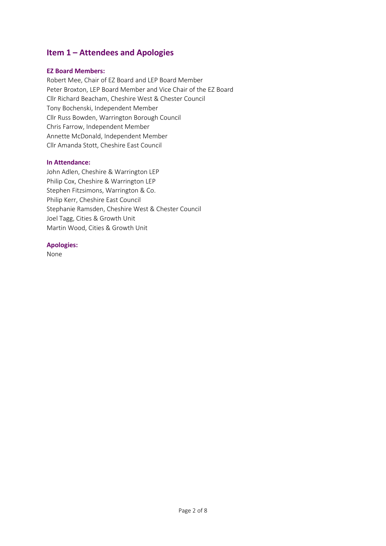## **Item 1 – Attendees and Apologies**

#### **EZ Board Members:**

Robert Mee, Chair of EZ Board and LEP Board Member Peter Broxton, LEP Board Member and Vice Chair of the EZ Board Cllr Richard Beacham, Cheshire West & Chester Council Tony Bochenski, Independent Member Cllr Russ Bowden, Warrington Borough Council Chris Farrow, Independent Member Annette McDonald, Independent Member Cllr Amanda Stott, Cheshire East Council

#### **In Attendance:**

John Adlen, Cheshire & Warrington LEP Philip Cox, Cheshire & Warrington LEP Stephen Fitzsimons, Warrington & Co. Philip Kerr, Cheshire East Council Stephanie Ramsden, Cheshire West & Chester Council Joel Tagg, Cities & Growth Unit Martin Wood, Cities & Growth Unit

#### **Apologies:**

None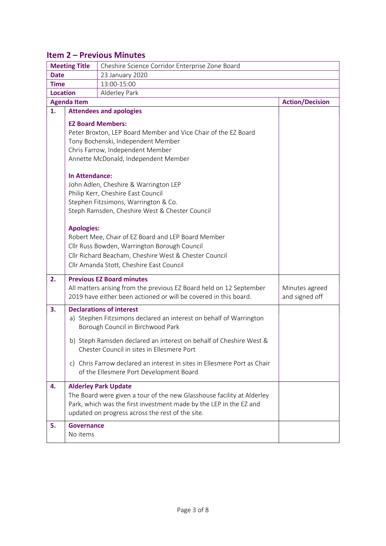## **Item 2 – Previous Minutes**

| <b>Meeting Title</b> |                                                                                                                                                                                                                                                                                                                                                                                                                                                                                                                                                                                                                                                | Cheshire Science Corridor Enterprise Zone Board                                                                                                                                                  |                                  |  |  |
|----------------------|------------------------------------------------------------------------------------------------------------------------------------------------------------------------------------------------------------------------------------------------------------------------------------------------------------------------------------------------------------------------------------------------------------------------------------------------------------------------------------------------------------------------------------------------------------------------------------------------------------------------------------------------|--------------------------------------------------------------------------------------------------------------------------------------------------------------------------------------------------|----------------------------------|--|--|
| <b>Date</b>          |                                                                                                                                                                                                                                                                                                                                                                                                                                                                                                                                                                                                                                                | 23 January 2020                                                                                                                                                                                  |                                  |  |  |
| <b>Time</b>          |                                                                                                                                                                                                                                                                                                                                                                                                                                                                                                                                                                                                                                                | 13:00-15:00                                                                                                                                                                                      |                                  |  |  |
| <b>Location</b>      |                                                                                                                                                                                                                                                                                                                                                                                                                                                                                                                                                                                                                                                |                                                                                                                                                                                                  |                                  |  |  |
| <b>Agenda Item</b>   | <b>Action/Decision</b>                                                                                                                                                                                                                                                                                                                                                                                                                                                                                                                                                                                                                         |                                                                                                                                                                                                  |                                  |  |  |
| 1.                   | <b>Attendees and apologies</b>                                                                                                                                                                                                                                                                                                                                                                                                                                                                                                                                                                                                                 |                                                                                                                                                                                                  |                                  |  |  |
|                      | <b>EZ Board Members:</b><br>Peter Broxton, LEP Board Member and Vice Chair of the EZ Board<br>Tony Bochenski, Independent Member<br>Chris Farrow, Independent Member<br>Annette McDonald, Independent Member<br><b>In Attendance:</b><br>John Adlen, Cheshire & Warrington LEP<br>Philip Kerr, Cheshire East Council<br>Stephen Fitzsimons, Warrington & Co.<br>Steph Ramsden, Cheshire West & Chester Council<br><b>Apologies:</b><br>Robert Mee, Chair of EZ Board and LEP Board Member<br>Cllr Russ Bowden, Warrington Borough Council<br>Cllr Richard Beacham, Cheshire West & Chester Council<br>Cllr Amanda Stott, Cheshire East Council |                                                                                                                                                                                                  |                                  |  |  |
| 2.                   |                                                                                                                                                                                                                                                                                                                                                                                                                                                                                                                                                                                                                                                | <b>Previous EZ Board minutes</b>                                                                                                                                                                 |                                  |  |  |
|                      |                                                                                                                                                                                                                                                                                                                                                                                                                                                                                                                                                                                                                                                | All matters arising from the previous EZ Board held on 12 September<br>2019 have either been actioned or will be covered in this board.                                                          | Minutes agreed<br>and signed off |  |  |
| 3.                   |                                                                                                                                                                                                                                                                                                                                                                                                                                                                                                                                                                                                                                                | <b>Declarations of interest</b><br>a) Stephen Fitzsimons declared an interest on behalf of Warrington<br>Borough Council in Birchwood Park                                                       |                                  |  |  |
|                      |                                                                                                                                                                                                                                                                                                                                                                                                                                                                                                                                                                                                                                                | b) Steph Ramsden declared an interest on behalf of Cheshire West &<br>Chester Council in sites in Ellesmere Port                                                                                 |                                  |  |  |
|                      |                                                                                                                                                                                                                                                                                                                                                                                                                                                                                                                                                                                                                                                | c) Chris Farrow declared an interest in sites in Ellesmere Port as Chair<br>of the Ellesmere Port Development Board                                                                              |                                  |  |  |
| 4.                   |                                                                                                                                                                                                                                                                                                                                                                                                                                                                                                                                                                                                                                                | <b>Alderley Park Update</b>                                                                                                                                                                      |                                  |  |  |
|                      |                                                                                                                                                                                                                                                                                                                                                                                                                                                                                                                                                                                                                                                | The Board were given a tour of the new Glasshouse facility at Alderley<br>Park, which was the first investment made by the LEP in the EZ and<br>updated on progress across the rest of the site. |                                  |  |  |
| 5.                   | <b>Governance</b>                                                                                                                                                                                                                                                                                                                                                                                                                                                                                                                                                                                                                              |                                                                                                                                                                                                  |                                  |  |  |
|                      | No items                                                                                                                                                                                                                                                                                                                                                                                                                                                                                                                                                                                                                                       |                                                                                                                                                                                                  |                                  |  |  |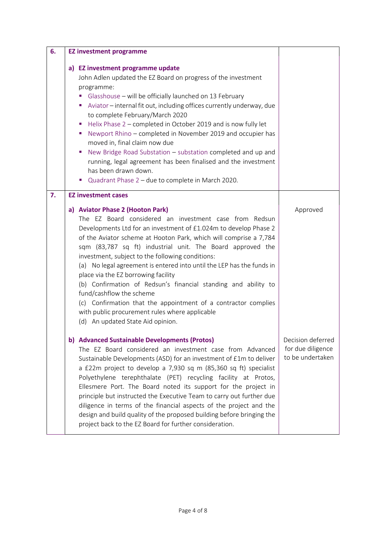| 6. | <b>EZ investment programme</b>                                                                                                                                                                                                                                                                                                                                                                                                                                                                                                                                                                                                                                                                                                                             |                                                            |
|----|------------------------------------------------------------------------------------------------------------------------------------------------------------------------------------------------------------------------------------------------------------------------------------------------------------------------------------------------------------------------------------------------------------------------------------------------------------------------------------------------------------------------------------------------------------------------------------------------------------------------------------------------------------------------------------------------------------------------------------------------------------|------------------------------------------------------------|
|    | a) EZ investment programme update<br>John Adlen updated the EZ Board on progress of the investment<br>programme:<br>Glasshouse - will be officially launched on 13 February<br>ш<br>Aviator - internal fit out, including offices currently underway, due<br>to complete February/March 2020<br>Helix Phase 2 – completed in October 2019 and is now fully let<br>ш<br>Newport Rhino - completed in November 2019 and occupier has<br>×<br>moved in, final claim now due<br>New Bridge Road Substation - substation completed and up and<br>running, legal agreement has been finalised and the investment<br>has been drawn down.<br>■ Quadrant Phase 2 – due to complete in March 2020.                                                                  |                                                            |
| 7. | <b>EZ investment cases</b><br>a) Aviator Phase 2 (Hooton Park)<br>The EZ Board considered an investment case from Redsun<br>Developments Ltd for an investment of £1.024m to develop Phase 2<br>of the Aviator scheme at Hooton Park, which will comprise a 7,784<br>sqm (83,787 sq ft) industrial unit. The Board approved the<br>investment, subject to the following conditions:<br>(a) No legal agreement is entered into until the LEP has the funds in<br>place via the EZ borrowing facility<br>(b) Confirmation of Redsun's financial standing and ability to<br>fund/cashflow the scheme<br>(c) Confirmation that the appointment of a contractor complies<br>with public procurement rules where applicable<br>(d) An updated State Aid opinion. | Approved                                                   |
|    | b) Advanced Sustainable Developments (Protos)<br>The EZ Board considered an investment case from Advanced<br>Sustainable Developments (ASD) for an investment of £1m to deliver<br>a £22m project to develop a 7,930 sq m (85,360 sq ft) specialist<br>Polyethylene terephthalate (PET) recycling facility at Protos,<br>Ellesmere Port. The Board noted its support for the project in<br>principle but instructed the Executive Team to carry out further due<br>diligence in terms of the financial aspects of the project and the<br>design and build quality of the proposed building before bringing the<br>project back to the EZ Board for further consideration.                                                                                  | Decision deferred<br>for due diligence<br>to be undertaken |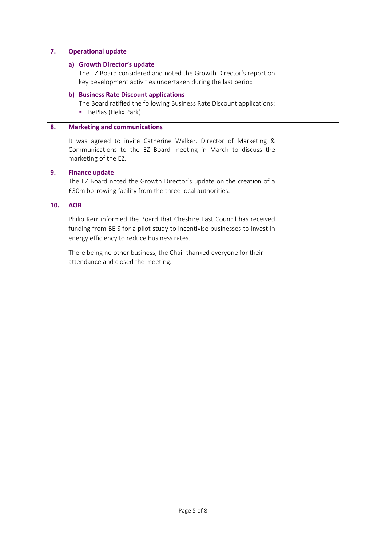| 7.  | <b>Operational update</b>                                                                                                                                                                           |  |
|-----|-----------------------------------------------------------------------------------------------------------------------------------------------------------------------------------------------------|--|
|     | a) Growth Director's update<br>The EZ Board considered and noted the Growth Director's report on<br>key development activities undertaken during the last period.                                   |  |
|     | b) Business Rate Discount applications<br>The Board ratified the following Business Rate Discount applications:<br>BePlas (Helix Park)                                                              |  |
| 8.  | <b>Marketing and communications</b>                                                                                                                                                                 |  |
|     | It was agreed to invite Catherine Walker, Director of Marketing &<br>Communications to the EZ Board meeting in March to discuss the<br>marketing of the EZ.                                         |  |
| 9.  | <b>Finance update</b><br>The EZ Board noted the Growth Director's update on the creation of a<br>£30m borrowing facility from the three local authorities.                                          |  |
| 10. | <b>AOB</b>                                                                                                                                                                                          |  |
|     | Philip Kerr informed the Board that Cheshire East Council has received<br>funding from BEIS for a pilot study to incentivise businesses to invest in<br>energy efficiency to reduce business rates. |  |
|     | There being no other business, the Chair thanked everyone for their<br>attendance and closed the meeting.                                                                                           |  |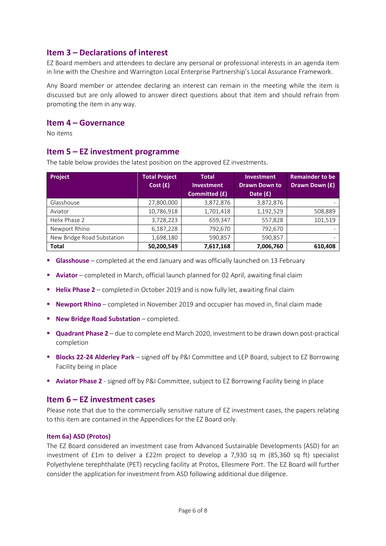## **Item 3 – Declarations of interest**

EZ Board members and attendees to declare any personal or professional interests in an agenda item in line with the Cheshire and Warrington Local Enterprise Partnership's Local Assurance Framework.

Any Board member or attendee declaring an interest can remain in the meeting while the item is discussed but are only allowed to answer direct questions about that item and should refrain from promoting the item in any way.

#### **Item 4 – Governance**

No items

### **Item 5 – EZ investment programme**

The table below provides the latest position on the approved EZ investments.

| <b>Project</b>             | <b>Total Project</b> | <b>Total</b>      | <b>Investment</b>    | <b>Remainder to be</b> |
|----------------------------|----------------------|-------------------|----------------------|------------------------|
|                            | Cost(f)              | <b>Investment</b> | <b>Drawn Down to</b> | Drawn Down (£)         |
|                            |                      | Committed (£)     | Date (£)             |                        |
| Glasshouse                 | 27,800,000           | 3,872,876         | 3,872,876            |                        |
| Aviator                    | 10,786,918           | 1,701,418         | 1,192,529            | 508,889                |
| Helix Phase 2              | 3,728,223            | 659,347           | 557,828              | 101,519                |
| Newport Rhino              | 6,187,228            | 792,670           | 792,670              |                        |
| New Bridge Road Substation | 1,698,180            | 590,857           | 590,857              |                        |
| <b>Total</b>               | 50,200,549           | 7,617,168         | 7,006,760            | 610,408                |

- **Glasshouse** completed at the end January and was officially launched on 13 February
- **E** Aviator completed in March, official launch planned for 02 April, awaiting final claim
- **Helix Phase 2** completed in October 2019 and is now fully let, awaiting final claim
- **E** Newport Rhino completed in November 2019 and occupier has moved in, final claim made
- **New Bridge Road Substation** completed.
- **Quadrant Phase 2** due to complete end March 2020, investment to be drawn down post-practical completion
- **Blocks 22-24 Alderley Park** signed off by P&I Committee and LEP Board, subject to EZ Borrowing Facility being in place
- **EXEDENT Aviator Phase 2** signed off by P&I Committee, subject to EZ Borrowing Facility being in place

#### **Item 6 – EZ investment cases**

Please note that due to the commercially sensitive nature of EZ investment cases, the papers relating to this item are contained in the Appendices for the EZ Board only.

#### **Item 6a) ASD (Protos)**

The EZ Board considered an investment case from Advanced Sustainable Developments (ASD) for an investment of £1m to deliver a £22m project to develop a 7,930 sq m (85,360 sq ft) specialist Polyethylene terephthalate (PET) recycling facility at Protos, Ellesmere Port. The EZ Board will further consider the application for investment from ASD following additional due diligence.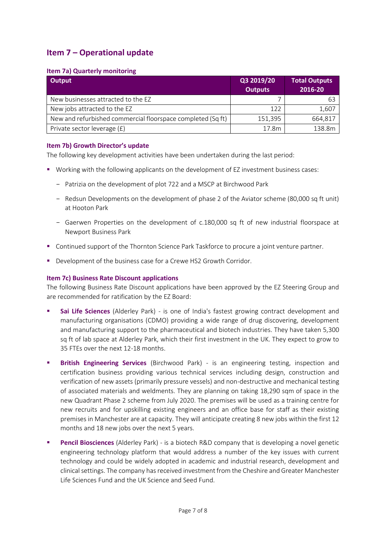## **Item 7 – Operational update**

#### **Item 7a) Quarterly monitoring**

| Output                                                      | Q3 2019/20     | <b>Total Outputs</b> |
|-------------------------------------------------------------|----------------|----------------------|
|                                                             | <b>Outputs</b> | 2016-20              |
| New businesses attracted to the EZ                          |                | 63                   |
| New jobs attracted to the EZ                                | 122            | 1,607                |
| New and refurbished commercial floorspace completed (Sq ft) | 151,395        | 664,817              |
| Private sector leverage (£)                                 | 17.8m          | 138.8m               |

#### **Item 7b) Growth Director's update**

The following key development activities have been undertaken during the last period:

- Working with the following applicants on the development of EZ investment business cases:
	- Patrizia on the development of plot 722 and a MSCP at Birchwood Park
	- Redsun Developments on the development of phase 2 of the Aviator scheme (80,000 sq ft unit) at Hooton Park
	- Gaerwen Properties on the development of c.180,000 sq ft of new industrial floorspace at Newport Business Park
- Continued support of the Thornton Science Park Taskforce to procure a joint venture partner.
- Development of the business case for a Crewe HS2 Growth Corridor.

### **Item 7c) Business Rate Discount applications**

The following Business Rate Discount applications have been approved by the EZ Steering Group and are recommended for ratification by the EZ Board:

- **E** Sai Life Sciences (Alderley Park) is one of India's fastest growing contract development and manufacturing organisations (CDMO) providing a wide range of drug discovering, development and manufacturing support to the pharmaceutical and biotech industries. They have taken 5,300 sq ft of lab space at Alderley Park, which their first investment in the UK. They expect to grow to 35 FTEs over the next 12-18 months.
- **Example Engineering Services** (Birchwood Park) is an engineering testing, inspection and certification business providing various technical services including design, construction and verification of new assets (primarily pressure vessels) and non-destructive and mechanical testing of associated materials and weldments. They are planning on taking 18,290 sqm of space in the new Quadrant Phase 2 scheme from July 2020. The premises will be used as a training centre for new recruits and for upskilling existing engineers and an office base for staff as their existing premises in Manchester are at capacity. They will anticipate creating 8 new jobs within the first 12 months and 18 new jobs over the next 5 years.
- **Pencil Biosciences** (Alderley Park) is a biotech R&D company that is developing a novel genetic engineering technology platform that would address a number of the key issues with current technology and could be widely adopted in academic and industrial research, development and clinical settings. The company has received investment from the Cheshire and Greater Manchester Life Sciences Fund and the UK Science and Seed Fund.